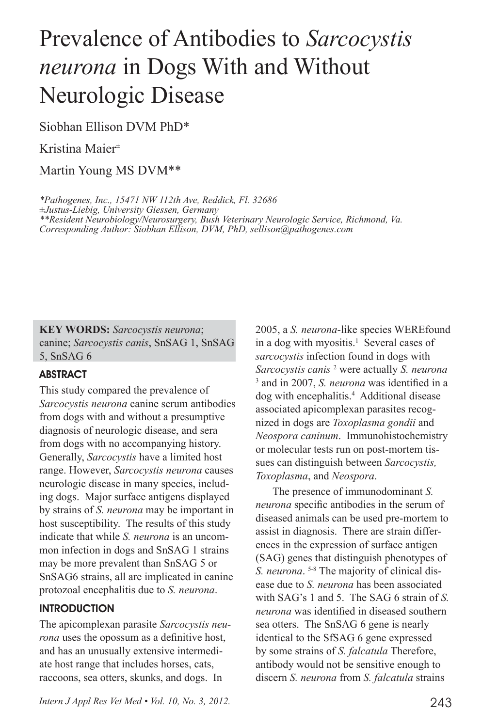# Prevalence of Antibodies to *Sarcocystis neurona* in Dogs With and Without Neurologic Disease

Siobhan Ellison DVM PhD\*

Kristina Maier±

Martin Young MS DVM\*\*

*\*Pathogenes, Inc., 15471 NW 112th Ave, Reddick, Fl. 32686 ±Justus-Liebig, University Giessen, Germany \*\*Resident Neurobiology/Neurosurgery, Bush Veterinary Neurologic Service, Richmond, Va. Corresponding Author: Siobhan Ellison, DVM, PhD, sellison@pathogenes.com*

**KEY WORDS:** *Sarcocystis neurona*; canine; *Sarcocystis canis*, SnSAG 1, SnSAG 5, SnSAG 6

# **ABSTRACT**

This study compared the prevalence of *Sarcocystis neurona* canine serum antibodies from dogs with and without a presumptive diagnosis of neurologic disease, and sera from dogs with no accompanying history. Generally, *Sarcocystis* have a limited host range. However, *Sarcocystis neurona* causes neurologic disease in many species, including dogs. Major surface antigens displayed by strains of *S. neurona* may be important in host susceptibility. The results of this study indicate that while *S. neurona* is an uncommon infection in dogs and SnSAG 1 strains may be more prevalent than SnSAG 5 or SnSAG6 strains, all are implicated in canine protozoal encephalitis due to *S. neurona*.

# **INTRODUCTION**

The apicomplexan parasite *Sarcocystis neurona* uses the opossum as a definitive host, and has an unusually extensive intermediate host range that includes horses, cats, raccoons, sea otters, skunks, and dogs. In

or molecular tests run on post-mortem tissues can distinguish between *Sarcocystis, Toxoplasma*, and *Neospora*. The presence of immunodominant *S. neurona* specific antibodies in the serum of diseased animals can be used pre-mortem to assist in diagnosis. There are strain differences in the expression of surface antigen (SAG) genes that distinguish phenotypes of

*S. neurona*. 5-8 The majority of clinical disease due to *S. neurona* has been associated with SAG's 1 and 5. The SAG 6 strain of *S. neurona* was identified in diseased southern sea otters. The SnSAG 6 gene is nearly identical to the SfSAG 6 gene expressed by some strains of *S. falcatula* Therefore, antibody would not be sensitive enough to discern *S. neurona* from *S. falcatula* strains

2005, a *S. neurona*-like species WEREfound in a dog with myositis.<sup>1</sup> Several cases of *sarcocystis* infection found in dogs with *Sarcocystis canis* <sup>2</sup> were actually *S. neurona* 3 and in 2007, *S. neurona* was identified in a dog with encephalitis.4 Additional disease associated apicomplexan parasites recognized in dogs are *Toxoplasma gondii* and *Neospora caninum*. Immunohistochemistry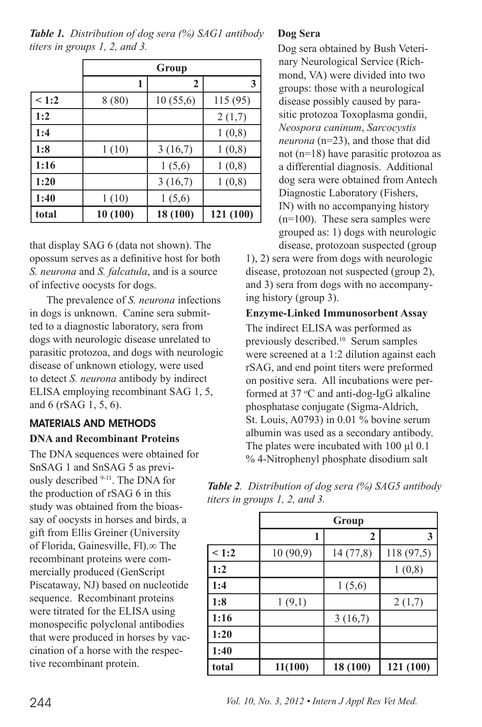|       | Group   |          |           |
|-------|---------|----------|-----------|
|       | ı       | 2        | 3         |
| < 1:2 | 8(80)   | 10(55,6) | 115(95)   |
| 1:2   |         |          | 2(1,7)    |
| 1:4   |         |          | 1(0,8)    |
| 1:8   | 1(10)   | 3(16,7)  | 1(0,8)    |
| 1:16  |         | 1(5,6)   | 1(0,8)    |
| 1:20  |         | 3(16,7)  | 1(0,8)    |
| 1:40  | 1(10)   | 1(5,6)   |           |
| total | 10(100) | 18 (100) | 121 (100) |

*Table 1. Distribution of dog sera (%) SAG1 antibody titers in groups 1, 2, and 3.*

that display SAG 6 (data not shown). The opossum serves as a definitive host for both *S. neurona* and *S. falcatula*, and is a source of infective oocysts for dogs.

The prevalence of *S. neurona* infections in dogs is unknown. Canine sera submitted to a diagnostic laboratory, sera from dogs with neurologic disease unrelated to parasitic protozoa, and dogs with neurologic disease of unknown etiology, were used to detect *S. neurona* antibody by indirect ELISA employing recombinant SAG 1, 5, and 6 (rSAG 1, 5, 6).

# MATERIALS AND METHODS **DNA and Recombinant Proteins**

The DNA sequences were obtained for SnSAG 1 and SnSAG 5 as previously described 9-11. The DNA for the production of rSAG 6 in this study was obtained from the bioassay of oocysts in horses and birds, a gift from Ellis Greiner (University of Florida, Gainesville, Fl).∞ The recombinant proteins were commercially produced (GenScript Piscataway, NJ) based on nucleotide sequence. Recombinant proteins were titrated for the ELISA using monospecific polyclonal antibodies that were produced in horses by vaccination of a horse with the respective recombinant protein.

# **Dog Sera**

Dog sera obtained by Bush Veterinary Neurological Service (Richmond, VA) were divided into two groups: those with a neurological disease possibly caused by parasitic protozoa Toxoplasma gondii, *Neospora caninum*, *Sarcocystis neurona* (n=23), and those that did not (n=18) have parasitic protozoa as a differential diagnosis. Additional dog sera were obtained from Antech Diagnostic Laboratory (Fishers, IN) with no accompanying history (n=100). These sera samples were grouped as: 1) dogs with neurologic disease, protozoan suspected (group

1), 2) sera were from dogs with neurologic disease, protozoan not suspected (group 2), and 3) sera from dogs with no accompanying history (group 3).

**Enzyme-Linked Immunosorbent Assay** The indirect ELISA was performed as previously described.10 Serum samples were screened at a 1:2 dilution against each rSAG, and end point titers were preformed on positive sera. All incubations were performed at  $37 \text{ °C}$  and anti-dog-IgG alkaline phosphatase conjugate (Sigma-Aldrich, St. Louis, A0793) in 0.01 % bovine serum albumin was used as a secondary antibody. The plates were incubated with  $100 \mu l$  0.1 % 4-Nitrophenyl phosphate disodium salt

| <b>Table 2.</b> Distribution of dog sera (%) SAG5 antibody |
|------------------------------------------------------------|
| titers in groups 1, 2, and 3.                              |

|       | Group    |          |            |  |
|-------|----------|----------|------------|--|
|       | 1        | 2        | 3          |  |
| 1:2   | 10(90,9) | 14(77,8) | 118 (97,5) |  |
| 1:2   |          |          | 1(0,8)     |  |
| 1:4   |          | 1(5,6)   |            |  |
| 1:8   | 1(9,1)   |          | 2(1,7)     |  |
| 1:16  |          | 3(16,7)  |            |  |
| 1:20  |          |          |            |  |
| 1:40  |          |          |            |  |
| total | 11(100)  | 18 (100) | 121 (100)  |  |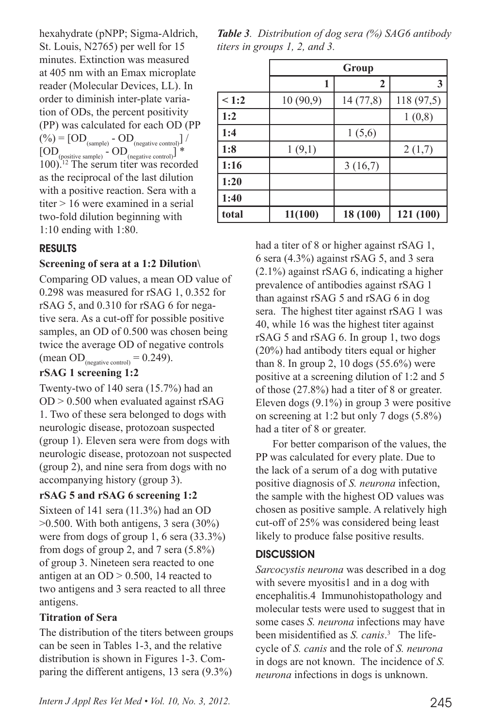hexahydrate (pNPP; Sigma-Aldrich, St. Louis, N2765) per well for 15 minutes. Extinction was measured at 405 nm with an Emax microplate reader (Molecular Devices, LL). In order to diminish inter-plate variation of ODs, the percent positivity (PP) was calculated for each OD (PP  $(\%) = [OD_{(sample)} - OD_{(negative control)}] /$  $[OD_{(positive\ sample)} - OD_{(negative\ control)}]$  \* 100).12 The serum titer was recorded as the reciprocal of the last dilution with a positive reaction. Sera with a titer > 16 were examined in a serial two-fold dilution beginning with 1:10 ending with 1:80.

## RESULTS

#### **Screening of sera at a 1:2 Dilution\**

Comparing OD values, a mean OD value of 0.298 was measured for rSAG 1, 0.352 for rSAG 5, and 0.310 for rSAG 6 for negative sera. As a cut-off for possible positive samples, an OD of 0.500 was chosen being twice the average OD of negative controls (mean OD<sub>(negative control)</sub> =  $0.249$ ).

## **rSAG 1 screening 1:2**

Twenty-two of 140 sera (15.7%) had an  $OD > 0.500$  when evaluated against rSAG 1. Two of these sera belonged to dogs with neurologic disease, protozoan suspected (group 1). Eleven sera were from dogs with neurologic disease, protozoan not suspected (group 2), and nine sera from dogs with no accompanying history (group 3).

## **rSAG 5 and rSAG 6 screening 1:2**

Sixteen of 141 sera (11.3%) had an OD >0.500. With both antigens, 3 sera (30%) were from dogs of group 1, 6 sera (33.3%) from dogs of group 2, and 7 sera (5.8%) of group 3. Nineteen sera reacted to one antigen at an  $OD > 0.500$ , 14 reacted to two antigens and 3 sera reacted to all three antigens.

## **Titration of Sera**

The distribution of the titers between groups can be seen in Tables 1-3, and the relative distribution is shown in Figures 1-3. Comparing the different antigens, 13 sera (9.3%)

*Table 3. Distribution of dog sera (%) SAG6 antibody titers in groups 1, 2, and 3.*

|       | Group    |          |           |  |
|-------|----------|----------|-----------|--|
|       | 1        | 2        | 3         |  |
| < 1:2 | 10(90,9) | 14(77,8) | 118(97,5) |  |
| 1:2   |          |          | 1(0,8)    |  |
| 1:4   |          | 1(5,6)   |           |  |
| 1:8   | 1(9,1)   |          | 2(1,7)    |  |
| 1:16  |          | 3(16,7)  |           |  |
| 1:20  |          |          |           |  |
| 1:40  |          |          |           |  |
| total | 11(100)  | 18 (100) | 121 (100) |  |

had a titer of 8 or higher against rSAG 1, 6 sera (4.3%) against rSAG 5, and 3 sera (2.1%) against rSAG 6, indicating a higher prevalence of antibodies against rSAG 1 than against rSAG 5 and rSAG 6 in dog sera. The highest titer against rSAG 1 was 40, while 16 was the highest titer against rSAG 5 and rSAG 6. In group 1, two dogs (20%) had antibody titers equal or higher than 8. In group 2, 10 dogs  $(55.6\%)$  were positive at a screening dilution of 1:2 and 5 of those (27.8%) had a titer of 8 or greater. Eleven dogs (9.1%) in group 3 were positive on screening at 1:2 but only 7 dogs (5.8%) had a titer of 8 or greater.

For better comparison of the values, the PP was calculated for every plate. Due to the lack of a serum of a dog with putative positive diagnosis of *S. neurona* infection, the sample with the highest OD values was chosen as positive sample. A relatively high cut-off of 25% was considered being least likely to produce false positive results.

## **DISCUSSION**

*Sarcocystis neurona* was described in a dog with severe myositis1 and in a dog with encephalitis.4 Immunohistopathology and molecular tests were used to suggest that in some cases *S. neurona* infections may have been misidentified as *S. canis*. 3 The lifecycle of *S. canis* and the role of *S. neurona* in dogs are not known. The incidence of *S. neurona* infections in dogs is unknown.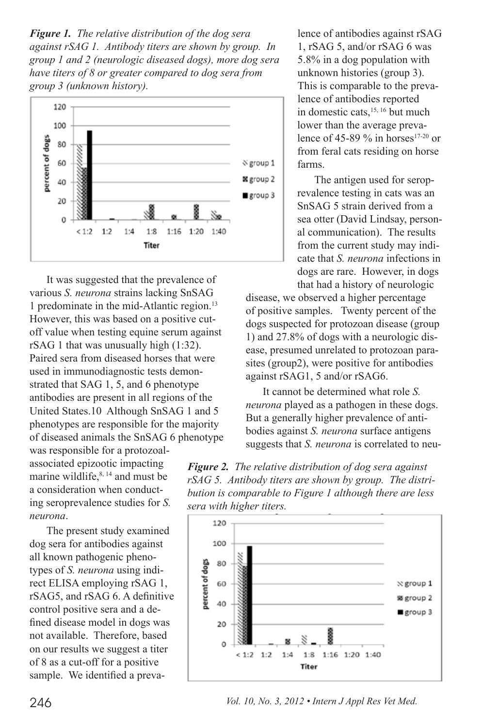*Figure 1. The relative distribution of the dog sera against rSAG 1. Antibody titers are shown by group. In group 1 and 2 (neurologic diseased dogs), more dog sera have titers of 8 or greater compared to dog sera from group 3 (unknown history).*



It was suggested that the prevalence of various *S. neurona* strains lacking SnSAG 1 predominate in the mid-Atlantic region.<sup>13</sup> However, this was based on a positive cutoff value when testing equine serum against rSAG 1 that was unusually high (1:32). Paired sera from diseased horses that were used in immunodiagnostic tests demonstrated that SAG 1, 5, and 6 phenotype antibodies are present in all regions of the United States.10 Although SnSAG 1 and 5 phenotypes are responsible for the majority of diseased animals the SnSAG 6 phenotype

was responsible for a protozoalassociated epizootic impacting marine wildlife, $8, 14$  and must be a consideration when conducting seroprevalence studies for *S. neurona*.

The present study examined dog sera for antibodies against all known pathogenic phenotypes of *S. neurona* using indirect ELISA employing rSAG 1, rSAG5, and rSAG 6. A definitive control positive sera and a defined disease model in dogs was not available. Therefore, based on our results we suggest a titer of 8 as a cut-off for a positive sample. We identified a prevalence of antibodies against rSAG 1, rSAG 5, and/or rSAG 6 was 5.8% in a dog population with unknown histories (group 3). This is comparable to the prevalence of antibodies reported in domestic cats,<sup>15, 16</sup> but much lower than the average prevalence of 45-89  $\%$  in horses<sup>17-20</sup> or from feral cats residing on horse farms.

The antigen used for seroprevalence testing in cats was an SnSAG 5 strain derived from a sea otter (David Lindsay, personal communication). The results from the current study may indicate that *S. neurona* infections in dogs are rare. However, in dogs that had a history of neurologic

disease, we observed a higher percentage of positive samples. Twenty percent of the dogs suspected for protozoan disease (group 1) and 27.8% of dogs with a neurologic disease, presumed unrelated to protozoan parasites (group2), were positive for antibodies against rSAG1, 5 and/or rSAG6.

It cannot be determined what role *S. neurona* played as a pathogen in these dogs. But a generally higher prevalence of antibodies against *S. neurona* surface antigens suggests that *S. neurona* is correlated to neu-

*Figure 2. The relative distribution of dog sera against rSAG 5. Antibody titers are shown by group. The distribution is comparable to Figure 1 although there are less sera with higher titers.*



246 *Vol. 10, No. 3, 2012 • Intern J Appl Res Vet Med.*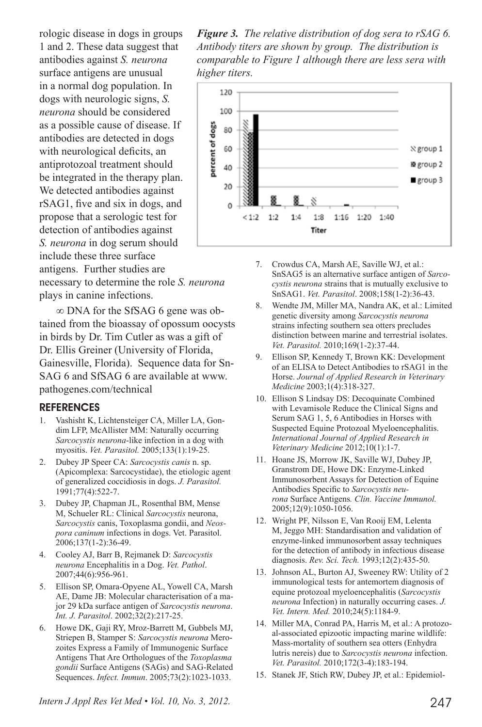rologic disease in dogs in groups 1 and 2. These data suggest that antibodies against *S. neurona* surface antigens are unusual in a normal dog population. In dogs with neurologic signs, *S. neurona* should be considered as a possible cause of disease. If antibodies are detected in dogs with neurological deficits, an antiprotozoal treatment should be integrated in the therapy plan. We detected antibodies against rSAG1, five and six in dogs, and propose that a serologic test for detection of antibodies against *S. neurona* in dog serum should include these three surface antigens. Further studies are

necessary to determine the role *S. neurona* plays in canine infections.

∞ DNA for the SfSAG 6 gene was obtained from the bioassay of opossum oocysts in birds by Dr. Tim Cutler as was a gift of Dr. Ellis Greiner (University of Florida, Gainesville, Florida). Sequence data for Sn-SAG 6 and SfSAG 6 are available at www. pathogenes.com/technical

#### REFERENCES

- 1. Vashisht K, Lichtensteiger CA, Miller LA, Gondim LFP, McAllister MM: Naturally occurring *Sarcocystis neurona*-like infection in a dog with myositis. *Vet. Parasitol.* 2005;133(1):19-25.
- 2. Dubey JP Speer CA: *Sarcocystis canis* n. sp. (Apicomplexa: Sarcocystidae), the etiologic agent of generalized coccidiosis in dogs. *J. Parasitol.* 1991;77(4):522-7.
- 3. Dubey JP, Chapman JL, Rosenthal BM, Mense M, Schueler RL: Clinical *Sarcocystis* neurona, *Sarcocystis* canis, Toxoplasma gondii, and *Neospora caninum* infections in dogs. Vet. Parasitol. 2006;137(1-2):36-49.
- 4. Cooley AJ, Barr B, Rejmanek D: *Sarcocystis neurona* Encephalitis in a Dog. *Vet. Pathol*. 2007;44(6):956-961.
- 5. Ellison SP, Omara-Opyene AL, Yowell CA, Marsh AE, Dame JB: Molecular characterisation of a major 29 kDa surface antigen of *Sarcocystis neurona*. *Int. J. Parasitol*. 2002;32(2):217-25.
- 6. Howe DK, Gaji RY, Mroz-Barrett M, Gubbels MJ, Striepen B, Stamper S: *Sarcocystis neurona* Merozoites Express a Family of Immunogenic Surface Antigens That Are Orthologues of the *Toxoplasma gondii* Surface Antigens (SAGs) and SAG-Related Sequences. *Infect. Immun*. 2005;73(2):1023-1033.

*Intern J Appl Res Vet Med • Vol. 10, No. 3, 2012.* 247

*Figure 3. The relative distribution of dog sera to rSAG 6. Antibody titers are shown by group. The distribution is comparable to Figure 1 although there are less sera with higher titers.*



- 7. Crowdus CA, Marsh AE, Saville WJ, et al.: SnSAG5 is an alternative surface antigen of *Sarcocystis neurona* strains that is mutually exclusive to SnSAG1. *Vet. Parasitol*. 2008;158(1-2):36-43.
- 8. Wendte JM, Miller MA, Nandra AK, et al.: Limited genetic diversity among *Sarcocystis neurona*  strains infecting southern sea otters precludes distinction between marine and terrestrial isolates. *Vet. Parasitol.* 2010;169(1-2):37-44.
- 9. Ellison SP, Kennedy T, Brown KK: Development of an ELISA to Detect Antibodies to rSAG1 in the Horse. *Journal of Applied Research in Veterinary Medicine* 2003;1(4):318-327.
- 10. Ellison S Lindsay DS: Decoquinate Combined with Levamisole Reduce the Clinical Signs and Serum SAG 1, 5, 6 Antibodies in Horses with Suspected Equine Protozoal Myeloencephalitis. *International Journal of Applied Research in Veterinary Medicine* 2012;10(1):1-7.
- 11. Hoane JS, Morrow JK, Saville WJ, Dubey JP, Granstrom DE, Howe DK: Enzyme-Linked Immunosorbent Assays for Detection of Equine Antibodies Specific to *Sarcocystis neurona* Surface Antigens*. Clin. Vaccine Immunol.* 2005;12(9):1050-1056.
- 12. Wright PF, Nilsson E, Van Rooij EM, Lelenta M, Jeggo MH: Standardisation and validation of enzyme-linked immunosorbent assay techniques for the detection of antibody in infectious disease diagnosis. *Rev. Sci. Tech.* 1993;12(2):435-50.
- 13. Johnson AL, Burton AJ, Sweeney RW: Utility of 2 immunological tests for antemortem diagnosis of equine protozoal myeloencephalitis (*Sarcocystis neurona* Infection) in naturally occurring cases. *J. Vet. Intern. Med.* 2010;24(5):1184-9.
- 14. Miller MA, Conrad PA, Harris M, et al.: A protozoal-associated epizootic impacting marine wildlife: Mass-mortality of southern sea otters (Enhydra lutris nereis) due to *Sarcocystis neurona* infection. *Vet. Parasitol.* 2010;172(3-4):183-194.
- 15. Stanek JF, Stich RW, Dubey JP, et al.: Epidemiol-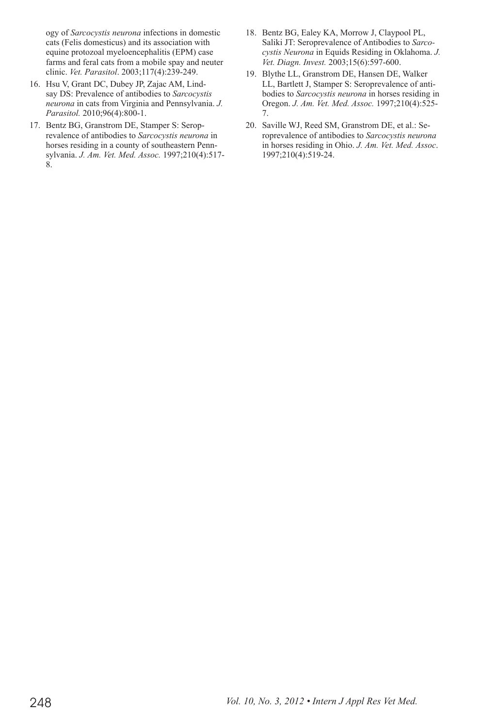ogy of *Sarcocystis neurona* infections in domestic cats (Felis domesticus) and its association with equine protozoal myeloencephalitis (EPM) case farms and feral cats from a mobile spay and neuter clinic. *Vet. Parasitol*. 2003;117(4):239-249.

- 16. Hsu V, Grant DC, Dubey JP, Zajac AM, Lindsay DS: Prevalence of antibodies to *Sarcocystis neurona* in cats from Virginia and Pennsylvania. *J. Parasitol.* 2010;96(4):800-1.
- 17. Bentz BG, Granstrom DE, Stamper S: Seroprevalence of antibodies to *Sarcocystis neurona* in horses residing in a county of southeastern Pennsylvania. *J. Am. Vet. Med. Assoc.* 1997;210(4):517- 8.
- 18. Bentz BG, Ealey KA, Morrow J, Claypool PL, Saliki JT: Seroprevalence of Antibodies to *Sarcocystis Neurona* in Equids Residing in Oklahoma. *J. Vet. Diagn. Invest.* 2003;15(6):597-600.
- 19. Blythe LL, Granstrom DE, Hansen DE, Walker LL, Bartlett J, Stamper S: Seroprevalence of antibodies to *Sarcocystis neurona* in horses residing in Oregon. *J. Am. Vet. Med. Assoc.* 1997;210(4):525- 7.
- 20. Saville WJ, Reed SM, Granstrom DE, et al.: Seroprevalence of antibodies to *Sarcocystis neurona*  in horses residing in Ohio. *J. Am. Vet. Med. Assoc*. 1997;210(4):519-24.